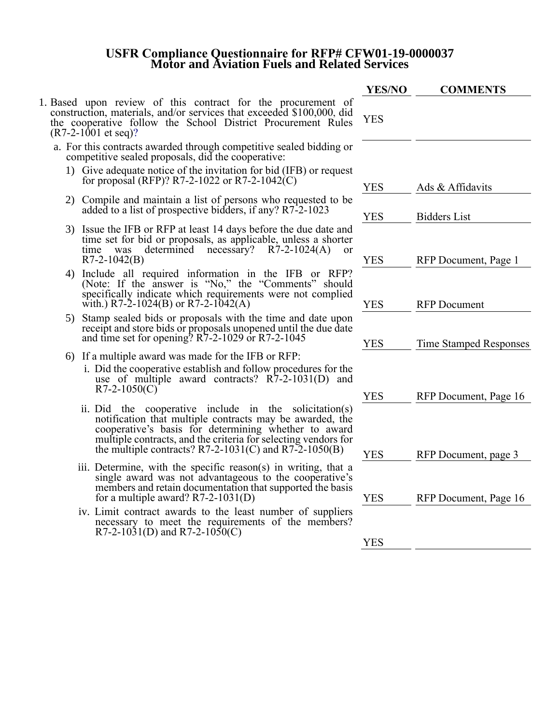## **USFR Compliance Questionnaire for RFP# CFW01-19-0000037 Motor and Aviation Fuels and Related Services**

|                                                                                                                                                                                                                                                                                                           | <b>YES/NO</b> | <b>COMMENTS</b>               |
|-----------------------------------------------------------------------------------------------------------------------------------------------------------------------------------------------------------------------------------------------------------------------------------------------------------|---------------|-------------------------------|
| 1. Based upon review of this contract for the procurement of<br>construction, materials, and/or services that exceeded \$100,000, did<br>the cooperative follow the School District Procurement Rules<br>$(R7-2-1001$ et seq)?                                                                            | <b>YES</b>    |                               |
| a. For this contracts awarded through competitive sealed bidding or<br>competitive sealed proposals, did the cooperative:                                                                                                                                                                                 |               |                               |
| 1) Give adequate notice of the invitation for bid (IFB) or request<br>for proposal (RFP)? R7-2-1022 or R7-2-1042(C)                                                                                                                                                                                       | <b>YES</b>    | Ads & Affidavits              |
| 2) Compile and maintain a list of persons who requested to be<br>added to a list of prospective bidders, if any? R7-2-1023                                                                                                                                                                                | <b>YES</b>    | <b>Bidders List</b>           |
| 3) Issue the IFB or RFP at least 14 days before the due date and<br>time set for bid or proposals, as applicable, unless a shorter<br>determined necessary? $R7-2-1024(A)$<br>time<br>was<br><sub>or</sub><br>$R7-2-1042(B)$                                                                              | <b>YES</b>    | RFP Document, Page 1          |
| 4) Include all required information in the IFB or RFP?<br>(Note: If the answer is "No," the "Comments" should<br>specifically indicate which requirements were not complied<br>with.) R7-2-1024(B) or R7-2-1042(A)                                                                                        | <b>YES</b>    | <b>RFP</b> Document           |
| Stamp sealed bids or proposals with the time and date upon<br>5)<br>receipt and store bids or proposals unopened until the due date<br>and time set for opening? R7-2-1029 or R7-2-1045                                                                                                                   | <b>YES</b>    | <b>Time Stamped Responses</b> |
| 6) If a multiple award was made for the IFB or RFP:<br>i. Did the cooperative establish and follow procedures for the<br>use of multiple award contracts? $R7-2-1031(D)$ and<br>$R7-2-1050(C)$                                                                                                            | <b>YES</b>    | RFP Document, Page 16         |
| ii. Did the cooperative include in the solicitation(s)<br>notification that multiple contracts may be awarded, the<br>cooperative's basis for determining whether to award<br>multiple contracts, and the criteria for selecting vendors for<br>the multiple contracts? $R7-2-1031(C)$ and $R7-2-1050(B)$ | <b>YES</b>    | RFP Document, page 3          |
| iii. Determine, with the specific reason(s) in writing, that a<br>single award was not advantageous to the cooperative's<br>members and retain documentation that supported the basis<br>for a multiple award? $R7-2-1031(D)$                                                                             | <b>YES</b>    | RFP Document, Page 16         |
| iv. Limit contract awards to the least number of suppliers<br>necessary to meet the requirements of the members?<br>R7-2-1031(D) and R7-2-1050(C)                                                                                                                                                         | <b>YES</b>    |                               |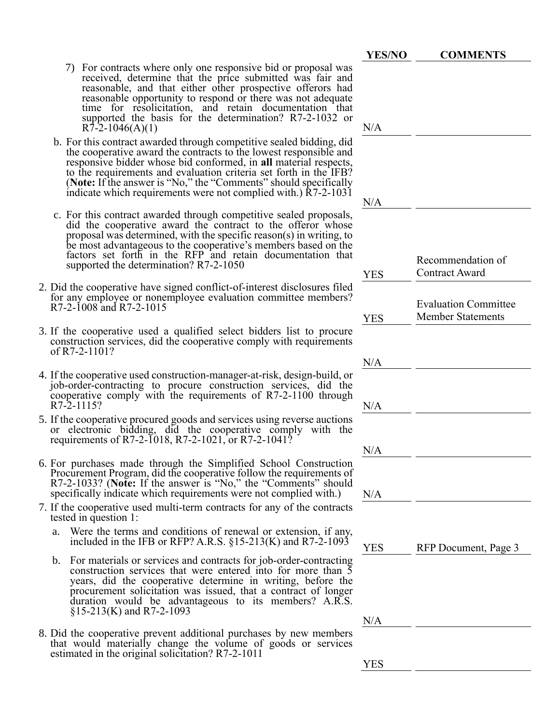- **YES/NO COMMENTS** 7) For contracts where only one responsive bid or proposal was received, determine that the price submitted was fair and reasonable, and that either other prospective offerors had reasonable opportunity to respond or there was not adequate time for resolicitation, and retain documentation that supported the basis for the determination? R7-2-1032 or  $R\overline{7}$ -2-1046(A)(1) N/A b. For this contract awarded through competitive sealed bidding, did the cooperative award the contracts to the lowest responsible and responsive bidder whose bid conformed, in **all** material respects, to the requirements and evaluation criteria set forth in the IFB? (**Note:** If the answer is "No," the "Comments" should specifically indicate which requirements were not complied with.) R7-2-1031 N/A c. For this contract awarded through competitive sealed proposals, did the cooperative award the contract to the offeror whose proposal was determined, with the specific reason(s) in writing, to be most advantageous to the cooperative's members based on the factors set forth in the RFP and retain documentation that supported the determination? R7-2-1050 YES Recommendation of Contract Award 2. Did the cooperative have signed conflict-of-interest disclosures filed for any employee or nonemployee evaluation committee members? R7-2-1008 and R7-2-1015 YES Evaluation Committee Member Statements 3. If the cooperative used a qualified select bidders list to procure construction services, did the cooperative comply with requirements of R7-2-1101? N/A 4. If the cooperative used construction-manager-at-risk, design-build, or job-order-contracting to procure construction services, did the cooperative comply with the requirements of R7-2-1100 through  $R7-2-1115$ ? N/A 5. If the cooperative procured goods and services using reverse auctions or electronic bidding, did the cooperative comply with the requirements of R7-2-1018, R7-2-1021, or R7-2-1041? N/A 6. For purchases made through the Simplified School Construction Procurement Program, did the cooperative follow the requirements of R7-2-1033? (**Note:** If the answer is "No," the "Comments" should specifically indicate which requirements were not complied with.)  $N/A$ 7. If the cooperative used multi-term contracts for any of the contracts tested in question 1: a. Were the terms and conditions of renewal or extension, if any, included in the IFB or RFP? A.R.S.  $\S 15{\text -}213(K)$  and R7-2-1093 YES RFP Document, Page 3 b. For materials or services and contracts for job-order-contracting construction services that were entered into for more than 5 years, did the cooperative determine in writing, before the procurement solicitation was issued, that a contract of longer
- 8. Did the cooperative prevent additional purchases by new members that would materially change the volume of goods or services estimated in the original solicitation? R7-2-1011

§15-213(K) and R7-2-1093

duration would be advantageous to its members? A.R.S.

N/A

YES